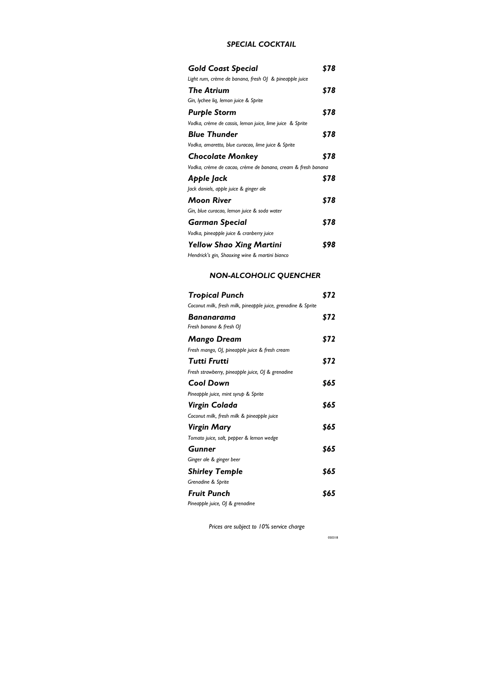#### *SPECIAL COCKTAIL*

| <b>Gold Coast Special</b>                                    | 578  |
|--------------------------------------------------------------|------|
| Light rum, crème de banana, fresh OJ & pineapple juice       |      |
| The Atrium                                                   | \$78 |
| Gin, lychee lig, lemon juice & Sprite                        |      |
| <b>Purple Storm</b>                                          | \$78 |
| Vodka, crème de cassis, lemon juice, lime juice & Sprite     |      |
| <b>Blue Thunder</b>                                          | \$78 |
| Vodka, amaretto, blue curacao, lime juice & Sprite           |      |
| <b>Chocolate Monkey</b>                                      | \$78 |
| Vodka, crème de cacao, crème de banana, cream & fresh banana |      |
| Apple Jack                                                   | \$78 |
| Jack daniels, apple juice & ginger ale                       |      |
| Moon River                                                   | \$78 |
| Gin, blue curacao, lemon juice & soda water                  |      |
| <b>Garman Special</b>                                        | \$78 |
| Vodka, pineapple juice & cranberry juice                     |      |
| <b>Yellow Shao Xing Martini</b>                              | 598  |
| Hendrick's gin, Shaoxing wine & martini bianco               |      |

# *NON-ALCOHOLIC QUENCHER*

| Tropical Punch                                                | \$72 |
|---------------------------------------------------------------|------|
| Coconut milk, fresh milk, pineapple juice, grenadine & Sprite |      |
| Bananarama                                                    | \$72 |
| Fresh banana & fresh Ol                                       |      |
| Mango Dream                                                   | \$72 |
| Fresh mango, OJ, pineapple juice & fresh cream                |      |
| Tutti Frutti                                                  | \$72 |
| Fresh strawberry, pineapple juice, OJ & grenadine             |      |
| Cool Down                                                     | \$65 |
| Pineapple juice, mint syrup & Sprite                          |      |
| Virgin Colada                                                 | \$65 |
| Coconut milk, fresh milk & pineapple juice                    |      |
| Virgin Mary                                                   | \$65 |
| Tomato juice, salt, pepper & lemon wedge                      |      |
| Gunner                                                        | \$65 |
| Ginger ale & ginger beer                                      |      |
| <b>Shirley Temple</b>                                         | \$65 |
| Grenadine & Sprite                                            |      |
| Fruit Punch                                                   | \$65 |
| Pineapple juice, OJ & grenadine                               |      |

 *Prices are subject to 10% service charge*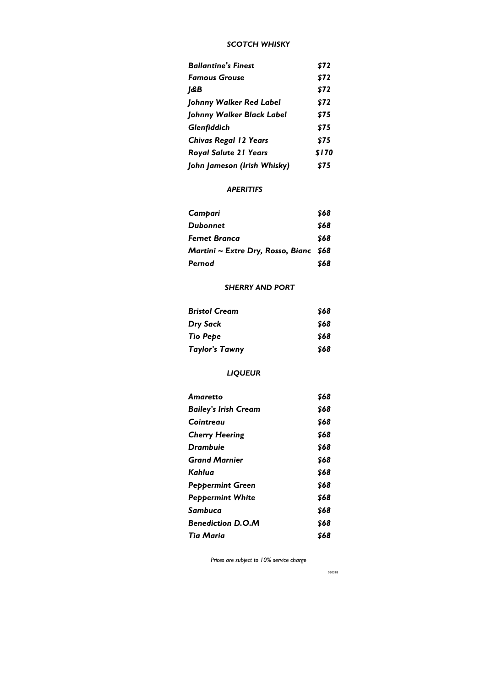#### *SCOTCH WHISKY*

| <b>Ballantine's Finest</b>   | \$72  |
|------------------------------|-------|
| Famous Grouse                | \$72  |
| 1&B                          | \$72  |
| Johnny Walker Red Label      | \$72  |
| Johnny Walker Black Label    | \$75  |
| Glenfiddich                  | \$75  |
| <b>Chivas Regal 12 Years</b> | \$75  |
| <b>Royal Salute 21 Years</b> | \$170 |
| John Jameson (Irish Whisky)  | \$75  |
|                              |       |

# *APERITIFS*

| Campari                                 | \$68 |
|-----------------------------------------|------|
| Dubonnet                                | \$68 |
| <b>Fernet Branca</b>                    | \$68 |
| Martini ~ Extre Dry, Rosso, Bianc $$68$ |      |
| Pernod                                  | \$68 |

### *SHERRY AND PORT*

| <b>Bristol Cream</b>  | \$68 |
|-----------------------|------|
| <b>Dry Sack</b>       | \$68 |
| Tio Pepe              | \$68 |
| <b>Taylor's Tawny</b> | \$68 |

# *LIQUEUR*

| Amaretto                    | \$68 |
|-----------------------------|------|
| <b>Bailey's Irish Cream</b> | \$68 |
| Cointreau                   | \$68 |
| <b>Cherry Heering</b>       | \$68 |
| Drambuie                    | \$68 |
| <b>Grand Marnier</b>        | \$68 |
| Kahlua                      | \$68 |
| <b>Peppermint Green</b>     | \$68 |
| <b>Peppermint White</b>     | \$68 |
| Sambuca                     | \$68 |
| <b>Benediction D.O.M</b>    | \$68 |
| Tia Maria                   | \$68 |

 *Prices are subject to 10% service charge*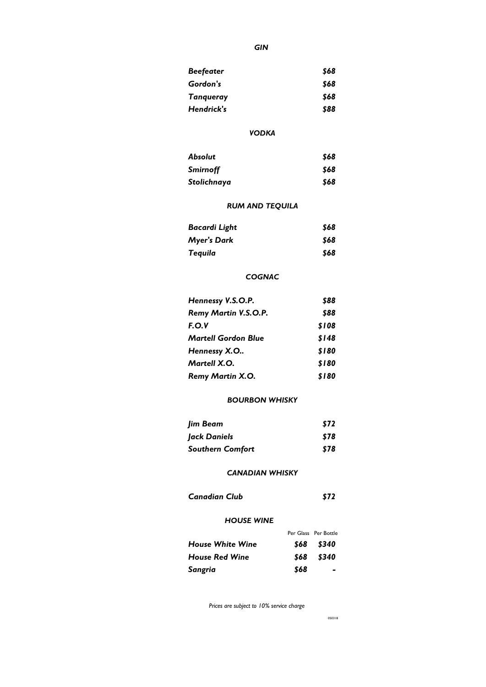### *GIN*

| <b>Beefeater</b> | \$68 |
|------------------|------|
| Gordon's         | \$68 |
| <b>Tanqueray</b> | \$68 |
| Hendrick's       | \$88 |

### *VODKA*

| <b>Absolut</b>  | \$68 |
|-----------------|------|
| <b>Smirnoff</b> | \$68 |
| Stolichnaya     | \$68 |

# *RUM AND TEQUILA*

| Bacardi Light      | \$68 |
|--------------------|------|
| <b>Myer's Dark</b> | \$68 |
| Tequila            | \$68 |

# *COGNAC*

| Hennessy V.S.O.P.          | \$88  |
|----------------------------|-------|
| Remy Martin V.S.O.P.       | \$88  |
| F.O.V                      | \$108 |
| <b>Martell Gordon Blue</b> | \$148 |
| Hennessy X.O               | \$180 |
| Martell X.O.               | \$180 |
| <b>Remy Martin X.O.</b>    | \$180 |

# *BOURBON WHISKY*

| Jim Beam                | \$72 |
|-------------------------|------|
| Jack Daniels            | \$78 |
| <b>Southern Comfort</b> | \$78 |

### *CANADIAN WHISKY*

| <b>Canadian Club</b> |  | \$72 |
|----------------------|--|------|
|----------------------|--|------|

#### *HOUSE WINE*

|                         |      | Per Glass Per Bottle |
|-------------------------|------|----------------------|
| <b>House White Wine</b> |      | \$68 \$340           |
| <b>House Red Wine</b>   | \$68 | \$340                |
| Sangria                 | \$68 |                      |

 *Prices are subject to 10% service charge*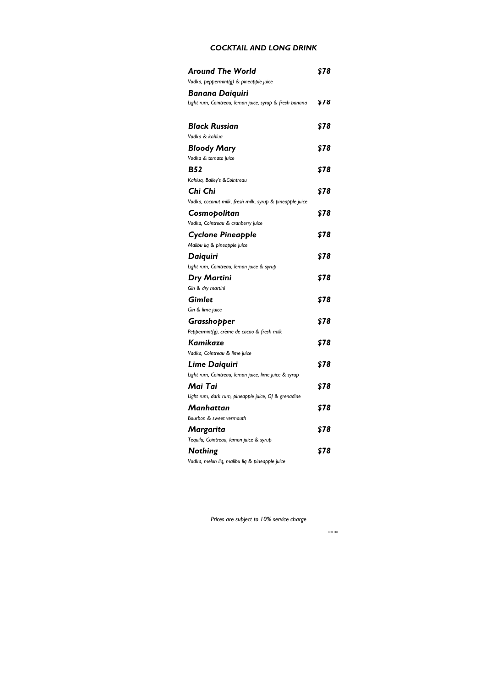### *COCKTAIL AND LONG DRINK*

| <b>Around The World</b>                                  | \$78 |
|----------------------------------------------------------|------|
| Vodka, peppermint(g) & pineapple juice                   |      |
| Banana Daiquiri                                          |      |
| Light rum, Cointreau, lemon juice, syrup & fresh banana  | \$78 |
| <b>Black Russian</b>                                     | \$78 |
| Vodka & kahlua                                           |      |
| <b>Bloody Mary</b>                                       | \$78 |
| Vodka & tomato juice                                     |      |
| <b>B52</b>                                               | \$78 |
| Kahlua, Bailey's & Cointreau                             |      |
| Chi Chi                                                  | \$78 |
| Vodka, coconut milk, fresh milk, syrup & pineapple juice |      |
| Cosmopolitan                                             | \$78 |
| Vodka, Cointreau & cranberry juice                       |      |
| <b>Cyclone Pineapple</b>                                 | \$78 |
| Malibu liq & pineapple juice                             |      |
| Daiquiri                                                 | \$78 |
| Light rum, Cointreau, lemon juice & syrup                |      |
| <b>Dry Martini</b>                                       | \$78 |
| Gin & dry martini                                        |      |
| Gimlet                                                   | \$78 |
| Gin & lime juice                                         |      |
| Grasshopper                                              | \$78 |
| Peppermint(g), crème de cacao & fresh milk               |      |
| Kamikaze                                                 | \$78 |
| Vadka, Cointreau & lime juice                            |      |
| <b>Lime Daiquiri</b>                                     | \$78 |
| Light rum, Cointreau, lemon juice, lime juice & syrup    |      |
| Mai Tai                                                  | \$78 |
| Light rum, dark rum, pineapple juice, OJ & grenadine     |      |
| Manhattan                                                | \$78 |
| Bourbon & sweet vermouth                                 |      |
| Margarita                                                | \$78 |
| Tequila, Cointreau, lemon juice & syrup                  |      |
| <b>Nothing</b>                                           | \$78 |
| Vodka, melon liq, malibu liq & pineapple juice           |      |

 *Prices are subject to 10% service charge*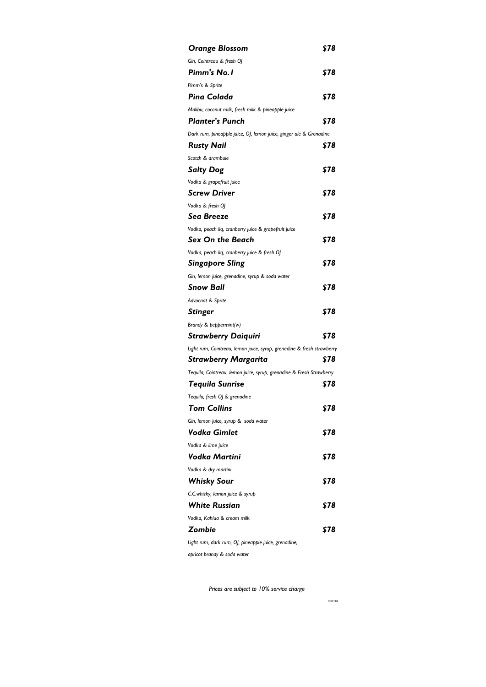| <b>Orange Blossom</b>                                                  | \$78 |
|------------------------------------------------------------------------|------|
| Gin, Cointreau & fresh OJ                                              |      |
| Pimm's No. I                                                           | \$78 |
| Pimm's & Sprite                                                        |      |
| <b>Pina Colada</b>                                                     | \$78 |
| Malibu, coconut milk, fresh milk & pineapple juice                     |      |
| <b>Planter's Punch</b>                                                 | \$78 |
| Dark rum, pineapple juice, OJ, lemon juice, ginger ale & Grenadine     |      |
| <b>Rusty Nail</b>                                                      | \$78 |
| Scotch & drambuie                                                      |      |
| <b>Salty Dog</b>                                                       | \$78 |
| Vodka & grapefruit juice                                               |      |
| <b>Screw Driver</b>                                                    | \$78 |
| Vodka & fresh OJ                                                       |      |
| Sea Breeze                                                             | \$78 |
| Vodka, peach liq, cranberry juice & grapefruit juice                   |      |
| <b>Sex On the Beach</b>                                                | \$78 |
| Vodka, peach liq, cranberry juice & fresh OJ                           |      |
| <b>Singapore Sling</b>                                                 | \$78 |
| Gin, lemon juice, grenadine, syrup & soda water                        |      |
| <b>Snow Ball</b>                                                       | \$78 |
| Advocaat & Sprite                                                      |      |
| <b>Stinger</b>                                                         | \$78 |
| Brandy & peppermint(w)                                                 |      |
| <b>Strawberry Daiquiri</b>                                             | \$78 |
| Light rum, Cointreau, lemon juice, syrup, grenadine & fresh strawberry |      |
| <b>Strawberry Margarita</b>                                            | \$78 |
| Tequila, Cointreau, lemon juice, syrup, grenadine & Fresh Strawberry   |      |
| Tequila Sunrise                                                        | \$78 |
| Tequila, fresh OJ & grenadine                                          |      |
| <b>Tom Collins</b>                                                     | \$78 |
| Gin, lemon juice, syrup & soda water                                   |      |
| Vodka Gimlet                                                           | \$78 |
| Vodka & lime juice                                                     |      |
| Vodka Martini                                                          | \$78 |
| Vodka & dry martini                                                    |      |
| <b>Whisky Sour</b>                                                     | \$78 |
| C.C.whisky, lemon juice & syrup                                        |      |
| <b>White Russian</b>                                                   | \$78 |
| Vodka, Kahlua & cream milk                                             |      |
| Zombie                                                                 | \$78 |
| Light rum, dark rum, OJ, pineapple juice, grenadine,                   |      |
| apricot brandy & soda water                                            |      |

 *Prices are subject to 10% service charge*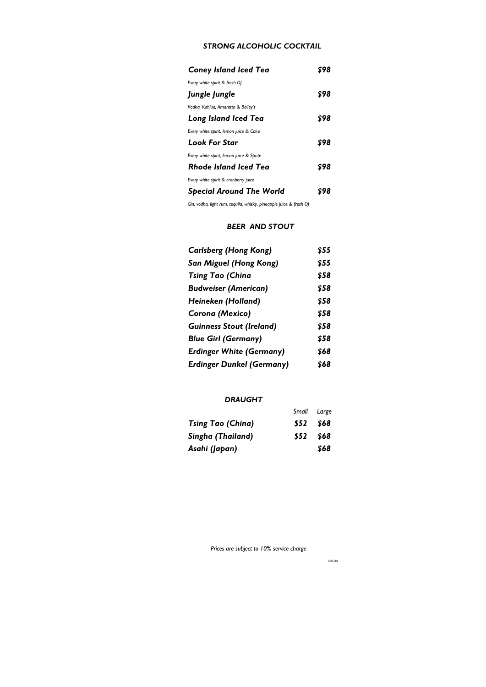# *STRONG ALCOHOLIC COCKTAIL*

| <b>Coney Island Iced Tea</b>             |     |
|------------------------------------------|-----|
| Every white spirit & fresh OJ            |     |
| Jungle Jungle                            | 598 |
| Vodka, Kahlua, Amaretto & Bailey's       |     |
| Long Island Iced Tea                     | 598 |
| Every white spirit, lemon juice & Coke   |     |
| Look For Star                            | 598 |
| Every white spirit, lemon juice & Sprite |     |
| Rhode Island Iced Tea                    | 898 |
| Every white spirit & cranberry juice     |     |
| <b>Special Around The World</b>          |     |

*Gin, vodka, light rum, tequila, whisky, pineapple juice & fresh OJ*

#### *BEER AND STOUT*

| <b>Carlsberg (Hong Kong)</b>     | \$55 |
|----------------------------------|------|
| San Miguel (Hong Kong)           | \$55 |
| <b>Tsing Tao (China</b>          | \$58 |
| <b>Budweiser (American)</b>      | \$58 |
| Heineken (Holland)               | \$58 |
| Corona (Mexico)                  | \$58 |
| <b>Guinness Stout (Ireland)</b>  | \$58 |
| <b>Blue Girl (Germany)</b>       | \$58 |
| <b>Erdinger White (Germany)</b>  | \$68 |
| <b>Erdinger Dunkel (Germany)</b> | \$68 |

# *DRAUGHT*

|                          |           | Small Large |
|--------------------------|-----------|-------------|
| <b>Tsing Tao (China)</b> | \$52 \$68 |             |
| Singha (Thailand)        | \$52      | 868         |
| Asahi (Japan)            |           | \$68        |

 *Prices are subject to 10% service charge*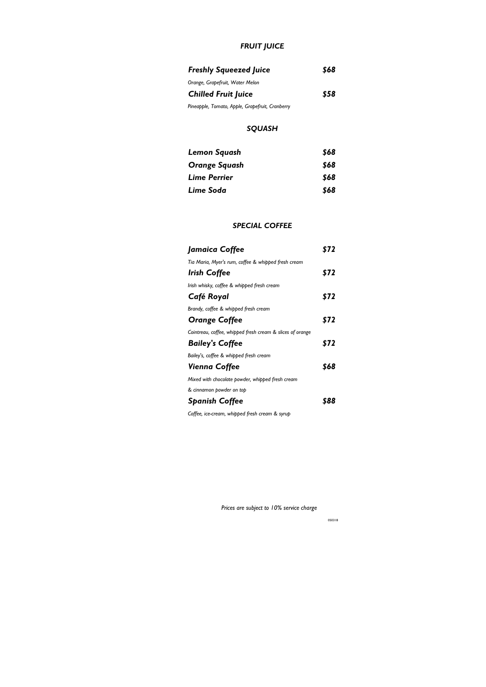# *FRUIT JUICE*

| <b>Freshly Squeezed Juice</b>                   | \$68 |
|-------------------------------------------------|------|
| Orange, Grapefruit, Water Melon                 |      |
| <b>Chilled Fruit Juice</b>                      | \$58 |
| Pineapple, Tomato, Apple, Grapefruit, Cranberry |      |

#### *SQUASH*

| Lemon Squash  | \$68 |
|---------------|------|
| Orange Squash | \$68 |
| Lime Perrier  | \$68 |
| Lime Soda     | \$68 |

#### *SPECIAL COFFEE*

| Jamaica Coffee                                            | \$72 |
|-----------------------------------------------------------|------|
| Tia Maria, Myer's rum, coffee & whipped fresh cream       |      |
| Irish Coffee                                              | \$72 |
| Irish whisky, coffee & whipped fresh cream                |      |
| Café Royal                                                | \$72 |
| Brandy, coffee & whipped fresh cream                      |      |
| <b>Orange Coffee</b>                                      | \$72 |
| Cointreau, coffee, whipped fresh cream & slices of orange |      |
| <b>Bailey's Coffee</b>                                    | \$72 |
| Bailey's, coffee & whipped fresh cream                    |      |
| Vienna Coffee                                             | \$68 |
| Mixed with chocolate powder, whipped fresh cream          |      |
| & cinnamon powder on top                                  |      |
| <b>Spanish Coffee</b>                                     | 888  |
| Coffee, ice-cream, whipped fresh cream & syrup            |      |

 *Prices are subject to 10% service charge*